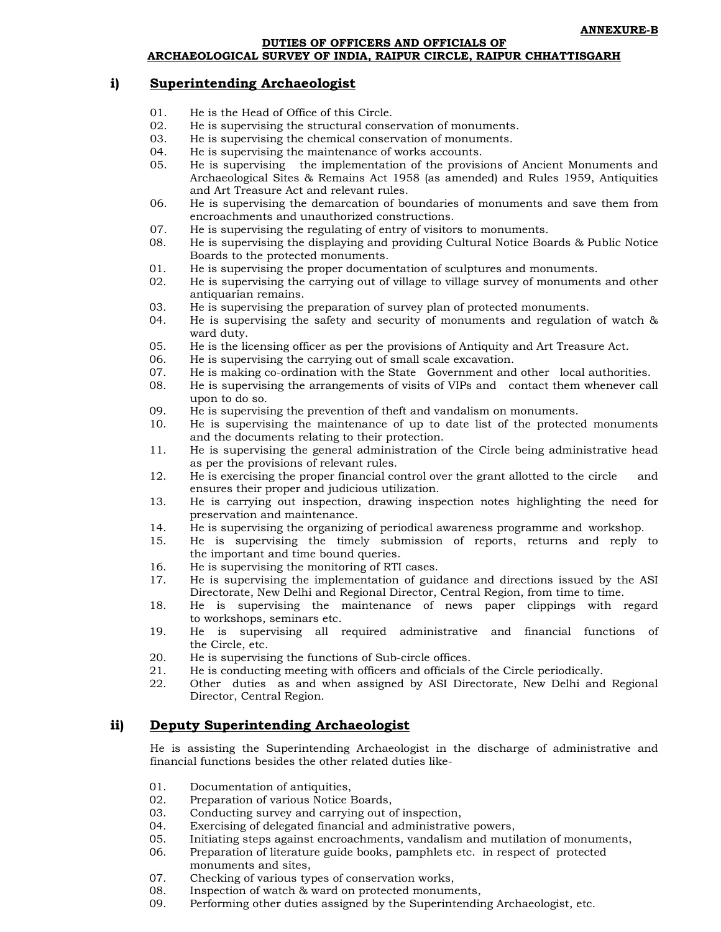DUTIES OF OFFICERS AND OFFICIALS OF

### ARCHAEOLOGICAL SURVEY OF INDIA, RAIPUR CIRCLE, RAIPUR CHHATTISGARH

#### i) **Superintending Archaeologist**

- $01.$ He is the Head of Office of this Circle.
- $02.$ He is supervising the structural conservation of monuments.
- 03. He is supervising the chemical conservation of monuments.
- He is supervising the maintenance of works accounts. 04.
- 05. He is supervising the implementation of the provisions of Ancient Monuments and Archaeological Sites & Remains Act 1958 (as amended) and Rules 1959, Antiquities and Art Treasure Act and relevant rules.
- 06. He is supervising the demarcation of boundaries of monuments and save them from encroachments and unauthorized constructions.
- 07. He is supervising the regulating of entry of visitors to monuments.
- 08. He is supervising the displaying and providing Cultural Notice Boards & Public Notice Boards to the protected monuments.
- $01.$ He is supervising the proper documentation of sculptures and monuments.
- $02.$ He is supervising the carrying out of village to village survey of monuments and other antiquarian remains.
- 03. He is supervising the preparation of survey plan of protected monuments.
- $04$ He is supervising the safety and security of monuments and regulation of watch  $\&$ ward duty.
- 05. He is the licensing officer as per the provisions of Antiquity and Art Treasure Act.
- 06 He is supervising the carrying out of small scale excavation.
- He is making co-ordination with the State Government and other local authorities. 07.
- 08. He is supervising the arrangements of visits of VIPs and contact them whenever call upon to do so.
- $09.$ He is supervising the prevention of theft and vandalism on monuments.
- $10<sub>1</sub>$ He is supervising the maintenance of up to date list of the protected monuments and the documents relating to their protection.
- He is supervising the general administration of the Circle being administrative head 11. as per the provisions of relevant rules.
- 12. He is exercising the proper financial control over the grant allotted to the circle and ensures their proper and judicious utilization.
- 13. He is carrying out inspection, drawing inspection notes highlighting the need for preservation and maintenance.
- He is supervising the organizing of periodical awareness programme and workshop.  $14$
- He is supervising the timely submission of reports, returns and reply to 15. the important and time bound queries.
- $16<sup>1</sup>$ He is supervising the monitoring of RTI cases.
- 17. He is supervising the implementation of guidance and directions issued by the ASI Directorate, New Delhi and Regional Director, Central Region, from time to time.
- He is supervising the maintenance of news paper clippings with regard 18. to workshops, seminars etc.
- $19.$ He is supervising all required administrative and financial functions of the Circle, etc.
- $20^{\circ}$ He is supervising the functions of Sub-circle offices.
- He is conducting meeting with officers and officials of the Circle periodically. 21.
- 22. Other duties as and when assigned by ASI Directorate, New Delhi and Regional Director, Central Region.

### **Deputy Superintending Archaeologist** ii)

He is assisting the Superintending Archaeologist in the discharge of administrative and financial functions besides the other related duties like-

- $01$ . Documentation of antiquities,
- 02. Preparation of various Notice Boards,
- 03. Conducting survey and carrying out of inspection,
- 04. Exercising of delegated financial and administrative powers,
- 05. Initiating steps against encroachments, vandalism and mutilation of monuments,
- 06. Preparation of literature guide books, pamphlets etc. in respect of protected monuments and sites,
- Checking of various types of conservation works, 07.
- 08. Inspection of watch & ward on protected monuments,
- 09. Performing other duties assigned by the Superintending Archaeologist, etc.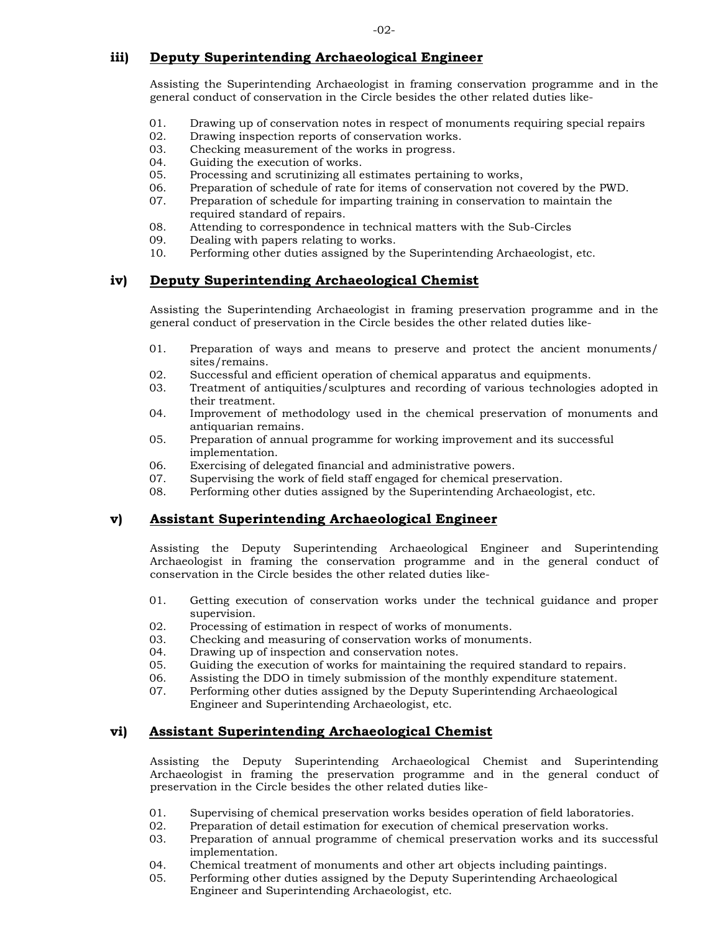### iii) Deputy Superintending Archaeological Engineer

Assisting the Superintending Archaeologist in framing conservation programme and in the general conduct of conservation in the Circle besides the other related duties like-

- 01. Drawing up of conservation notes in respect of monuments requiring special repairs
- 02. Drawing inspection reports of conservation works.
- 03. Checking measurement of the works in progress.
- $04.$ Guiding the execution of works.
- $05.$ Processing and scrutinizing all estimates pertaining to works,
- 06. Preparation of schedule of rate for items of conservation not covered by the PWD.
- 07. Preparation of schedule for imparting training in conservation to maintain the required standard of repairs.
- 08. Attending to correspondence in technical matters with the Sub-Circles
- 09. Dealing with papers relating to works.
- $10<sub>1</sub>$ Performing other duties assigned by the Superintending Archaeologist, etc.

### Deputy Superintending Archaeological Chemist iv)

Assisting the Superintending Archaeologist in framing preservation programme and in the general conduct of preservation in the Circle besides the other related duties like-

- 01. Preparation of ways and means to preserve and protect the ancient monuments/ sites/remains.
- 02. Successful and efficient operation of chemical apparatus and equipments.
- 03. Treatment of antiquities/sculptures and recording of various technologies adopted in their treatment.
- 04. Improvement of methodology used in the chemical preservation of monuments and antiquarian remains.
- 05. Preparation of annual programme for working improvement and its successful implementation.
- 06. Exercising of delegated financial and administrative powers.
- 07. Supervising the work of field staff engaged for chemical preservation.
- 08. Performing other duties assigned by the Superintending Archaeologist, etc.

#### v) **Assistant Superintending Archaeological Engineer**

Assisting the Deputy Superintending Archaeological Engineer and Superintending Archaeologist in framing the conservation programme and in the general conduct of conservation in the Circle besides the other related duties like-

- $01.$ Getting execution of conservation works under the technical guidance and proper supervision.
- 02. Processing of estimation in respect of works of monuments.
- 03. Checking and measuring of conservation works of monuments.
- $04.$ Drawing up of inspection and conservation notes.
- 05. Guiding the execution of works for maintaining the required standard to repairs.
- 06. Assisting the DDO in timely submission of the monthly expenditure statement.
- $07<sup>7</sup>$ Performing other duties assigned by the Deputy Superintending Archaeological Engineer and Superintending Archaeologist, etc.

### **Assistant Superintending Archaeological Chemist** vi)

Assisting the Deputy Superintending Archaeological Chemist and Superintending Archaeologist in framing the preservation programme and in the general conduct of preservation in the Circle besides the other related duties like-

- 01. Supervising of chemical preservation works besides operation of field laboratories.
- $02.$ Preparation of detail estimation for execution of chemical preservation works.
- 03. Preparation of annual programme of chemical preservation works and its successful implementation.
- $04$ Chemical treatment of monuments and other art objects including paintings.
- 05. Performing other duties assigned by the Deputy Superintending Archaeological Engineer and Superintending Archaeologist, etc.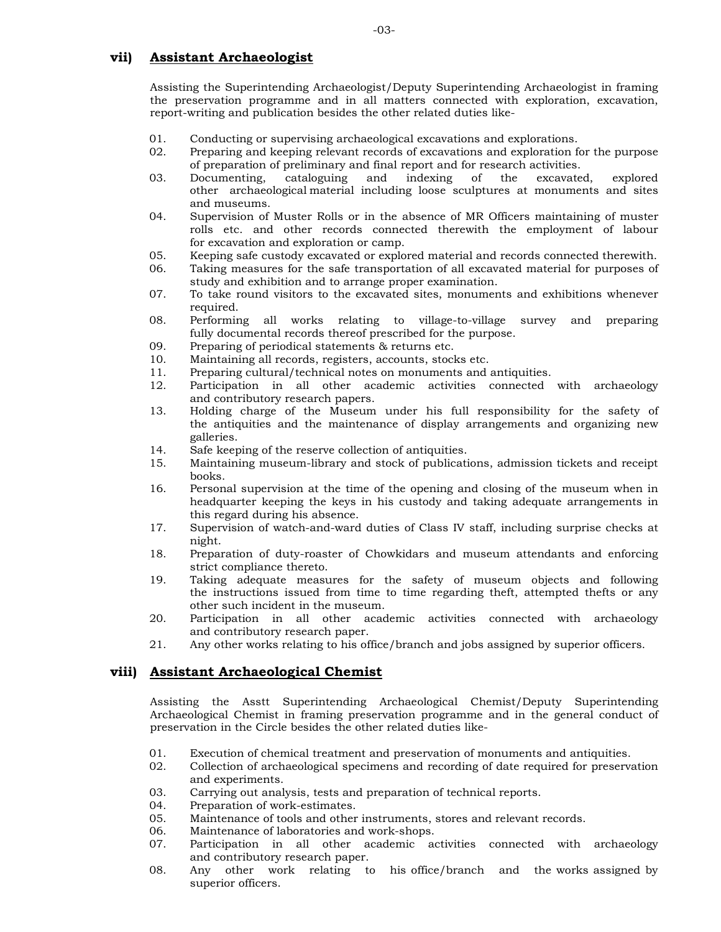### vii) **Assistant Archaeologist**

Assisting the Superintending Archaeologist/Deputy Superintending Archaeologist in framing the preservation programme and in all matters connected with exploration, excavation, report-writing and publication besides the other related duties like-

- 01. Conducting or supervising archaeological excavations and explorations.
- $02.$ Preparing and keeping relevant records of excavations and exploration for the purpose of preparation of preliminary and final report and for research activities.
- $0.3$ . Documenting. cataloguing and indexing of the excavated. explored other archaeological material including loose sculptures at monuments and sites and museums.
- 04. Supervision of Muster Rolls or in the absence of MR Officers maintaining of muster rolls etc. and other records connected therewith the employment of labour for excavation and exploration or camp.
- $0.5<sub>1</sub>$ Keeping safe custody excavated or explored material and records connected therewith.
- 06. Taking measures for the safe transportation of all excavated material for purposes of study and exhibition and to arrange proper examination.
- 07. To take round visitors to the excavated sites, monuments and exhibitions whenever required.
- 08 Performing all works relating to village-to-village survey and preparing fully documental records thereof prescribed for the purpose.
- 09. Preparing of periodical statements & returns etc.
- $10<sup>1</sup>$ Maintaining all records, registers, accounts, stocks etc.
- Preparing cultural/technical notes on monuments and antiquities.  $11.$
- $12.$ Participation in all other academic activities connected with archaeology and contributory research papers.
- Holding charge of the Museum under his full responsibility for the safety of  $13.$ the antiquities and the maintenance of display arrangements and organizing new galleries.
- Safe keeping of the reserve collection of antiquities. 14.
- Maintaining museum-library and stock of publications, admission tickets and receipt 15. books.
- $16.$ Personal supervision at the time of the opening and closing of the museum when in headquarter keeping the keys in his custody and taking adequate arrangements in this regard during his absence.
- 17. Supervision of watch-and-ward duties of Class IV staff, including surprise checks at night.
- 18. Preparation of duty-roaster of Chowkidars and museum attendants and enforcing strict compliance thereto.
- $19.$ Taking adequate measures for the safety of museum objects and following the instructions issued from time to time regarding theft, attempted thefts or any other such incident in the museum.
- 20. Participation in all other academic activities connected with archaeology and contributory research paper.
- 21. Any other works relating to his office/branch and jobs assigned by superior officers.

## viii) Assistant Archaeological Chemist

Assisting the Asstt Superintending Archaeological Chemist/Deputy Superintending Archaeological Chemist in framing preservation programme and in the general conduct of preservation in the Circle besides the other related duties like-

- 01. Execution of chemical treatment and preservation of monuments and antiquities.
- 02. Collection of archaeological specimens and recording of date required for preservation and experiments.
- 03. Carrying out analysis, tests and preparation of technical reports.
- $04.$ Preparation of work-estimates.
- $05.$ Maintenance of tools and other instruments, stores and relevant records.
- 06. Maintenance of laboratories and work-shops.
- 07. Participation in all other academic activities connected with archaeology and contributory research paper.
- Any other work relating to his office/branch and the works assigned by 08. superior officers.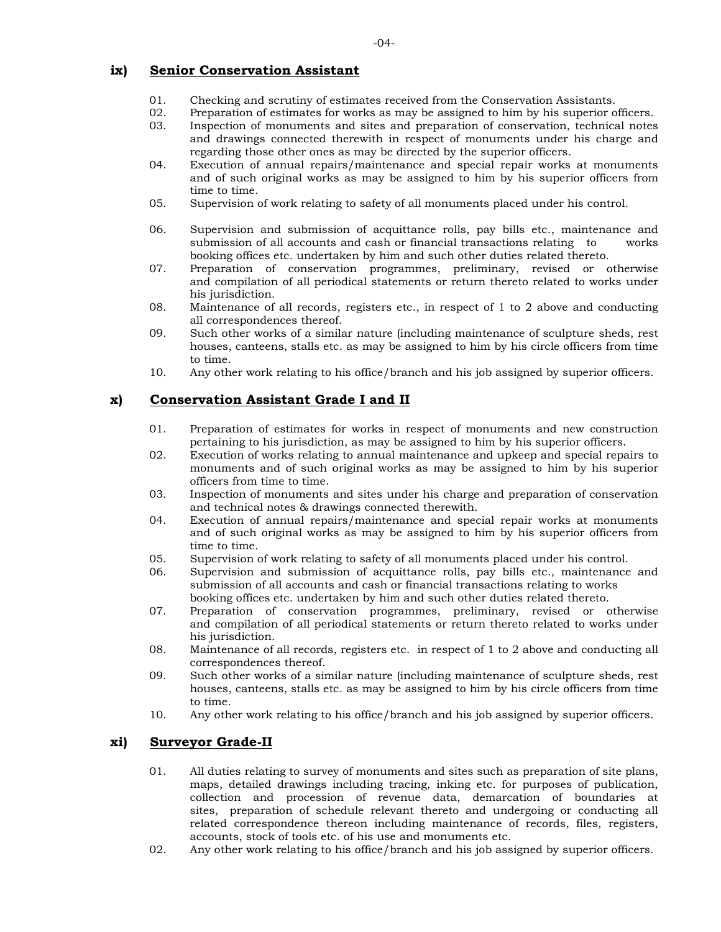## $i$  **ix**) Senior Conservation Assistant

- 01. Checking and scrutiny of estimates received from the Conservation Assistants.<br>02. Preparation of estimates for works as may be assigned to him by his superior o
- 20 . Preparation of estimates for works as may be assigned to him by his superior officers.<br>03. Inspection of monuments and sites and preparation of conservation, technical notes
- Inspection of monuments and sites and preparation of conservation, technical notes and drawings connected therewith in respect of monuments under his charge and regarding those other ones as may be directed by the superior officers.
- 04. Execution of annual repairs/maintenance and special repair works at monuments and of such original works as may be assigned to him by his superior officers from time to time.
- 05. Supervision of work relating to safety of all monuments placed under his control.
- 06. Supervision and submission of acquittance rolls, pay bills etc., maintenance and submission of all accounts and cash or financial transactions relating to works booking offices etc. undertaken by him and such other duties related thereto.
- 07. Preparation of conservation programmes, preliminary, revised or otherwise and compilation of all periodical statements or return thereto related to works under his jurisdiction.
- 08. Maintenance of all records, registers etc., in respect of 1 to 2 above and conducting all correspondences thereof.
- 09. Such other works of a similar nature (including maintenance of sculpture sheds, rest houses, canteens, stalls etc. as may be assigned to him by his circle officers from time to time.
- 10. Any other work relating to his office/ branch and his job assigned by superior officers.

## **x**) **Conservation Assistant Grade I and II**

- 01. Preparation of estimates for works in respect of monuments and new construction pertaining to his jurisdiction, as may be assigned to him by his superior officers.
- 02. Execution of works relating to annual maintenance and upkeep and special repairs to monuments and of such original works as may be assigned to him by his superior officers from time to time.
- 03. Inspection of monuments and sites under his charge and preparation of conservation and technical notes & drawings connected therewith.
- 04. Execution of annual repairs/maintenance and special repair works at monuments and of such original works as may be assigned to him by his superior officers from time to time.
- 05. Supervision of work relating to safety of all monuments placed under his control.
- 06. Supervision and submission of acquittance rolls, pay bills etc., maintenance and submission of all accounts and cash or financial transactions relating to works booking offices etc. undertaken by him and such other duties related thereto.
- 07. Preparation of conservation programmes, preliminary, revised or otherwise and compilation of all periodical statements or return thereto related to works under his jurisdiction.
- 08. Maintenance of all records, registers etc. in respect of 1 to 2 above and conducting all correspondences thereof.
- 09. Such other works of a similar nature (including maintenance of sculpture sheds, rest houses, canteens, stalls etc. as may be assigned to him by his circle officers from time to time.
- 10. Any other work relating to his office/ branch and his job assigned by superior officers.

## **xi**) **Surveyor Grade-II**

- 01. All duties relating to survey of monuments and sites such as preparation of site plans, maps, detailed drawings including tracing, inking etc. for purposes of publication, collection and procession of revenue data, demarcation of boundaries at sites, preparation of schedule relevant thereto and undergoing or conducting all related correspondence thereon including maintenance of records, files, registers, accounts, stock of tools etc. of his use and monuments etc.
- 02. Any other work relating to his office/branch and his job assigned by superior officers.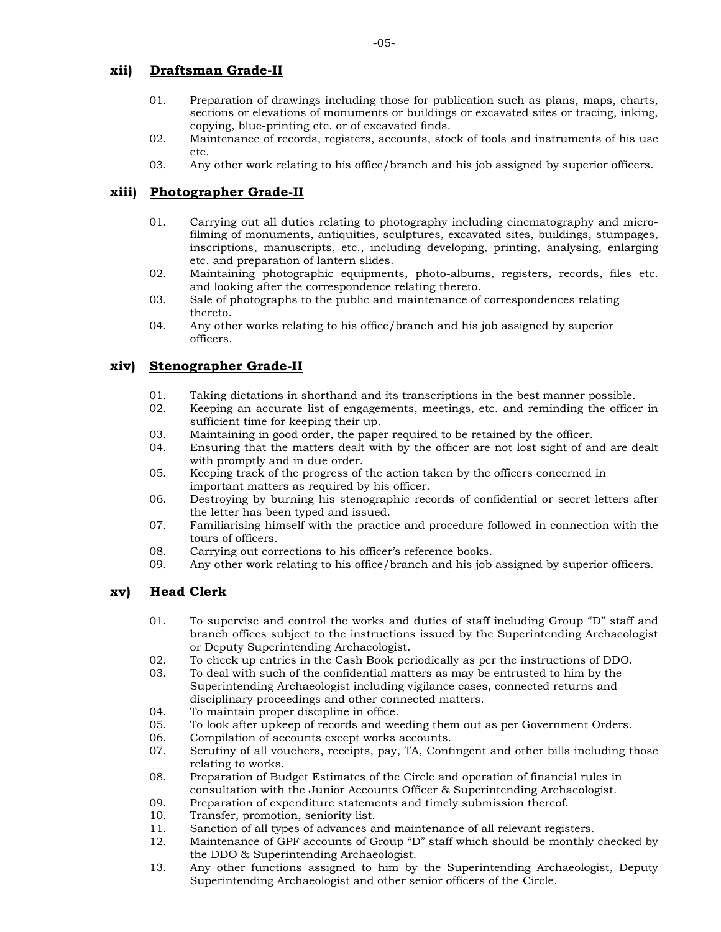## **x )ii rD a stf ma G n rade-II**

- 01. Preparation of drawings including those for publication such as plans, maps, charts, sections or elevations of monuments or buildings or excavated sites or tracing, inking, copying, blue-printing etc. or of excavated finds.
- 02. Maintenance of records, registers, accounts, stock of tools and instruments of his use etc.
- 03. Any other work relating to his office/ branch and his job assigned by superior officers.

## **xiii**) Photographer Grade-II

- 01. Carrying out all duties relating to photography including cinematography and microfilming of monuments, antiquities, sculptures, excavated sites, buildings, stumpages, in scriptions, manuscripts, etc., including developing, printing, analysing, enlarging etc. and preparation of lantern slides.
- 02. Maintaining photographic equipments, photo-albums, registers, records, files etc. and looking after the correspondence relating thereto.
- 03. Sale of photographs to the public and maintenance of correspondences relating thereto.
- 04. Any other works relating to his office/branch and his job assigned by superior officers.

# **xiv) Stenographer Grade-II**

- 10 01. Taking dictations in shorthand and its transcriptions in the best manner possible.<br>10 . Keeping an accurate list of engagements, meetings, etc. and reminding the office
- Keeping an accurate list of engagements, meetings, etc. and reminding the officer in sufficient time for keeping their up.
- 03. Maintaining in good order, the paper required to be retained by the officer.
- 04. Ensuring that the matters dealt with by the officer are not lost sight of and are dealt with promptly and in due order.
- 05. K eeping track of the progress of the action taken by the officers concerned in important matters as required by his officer.
- 06. Destroying by burning his stenographic records of confidential or secret letters after the letter has been typed and issued.
- 07. Familiarising himself with the practice and procedure followed in connection with the tours of officers.
- 08. Carrying out corrections to his officer's reference books.
- 09. Any other work relating to his office/branch and his job assigned by superior officers.

# **x )v eH a C d lerk**

- 01. To supervise and control the works and duties of staff including Group " $D$ " staff and branch offices subject to the instructions issued by the Superintending Archaeologist or Deputy Superintending Archaeologist.
- 20 . To check up entries in the Cash Book periodically as per the instructions of DDO.<br>03. To deal with such of the confidential matters as may be entrusted to him by the
- To deal with such of the confidential matters as may be entrusted to him by the Superintending Archaeologist including vigilance cases, connected returns and disciplinary proceedings and other connected matters.
- 04. To maintain proper discipline in office.<br>05. To look after unkeep of records and we
- 05. To look after upkeep of records and weeding them out as per Government Orders.<br>06. Compilation of accounts except works accounts.
- 06. Compilation of accounts except works accounts.<br>07. Scrutiny of all vouchers, receipts, pay, TA, Conti
- Scrutiny of all vouchers, receipts, pay, TA, Contingent and other bills including those relating to works.
- 08. Preparation of Budget Estimates of the Circle and operation of financial rules in consultation with the Junior Accounts Officer & Superintending Archaeologist.
- 99. Preparation of expenditure statements and timely submission thereof.<br>10. Transfer. promotion. seniority list.
- Transfer, promotion, seniority list.
- 11. Sanction of all types of advances and maintenance of all relevant registers.
- 12. Maintenance of GPF accounts of Group "D" staff which should be monthly checked by the DDO & Superintending Archaeologist.
- 13. Any other functions assigned to him by the Superintending Archaeologist, Deputy Superintending Archaeologist and other senior officers of the Circle.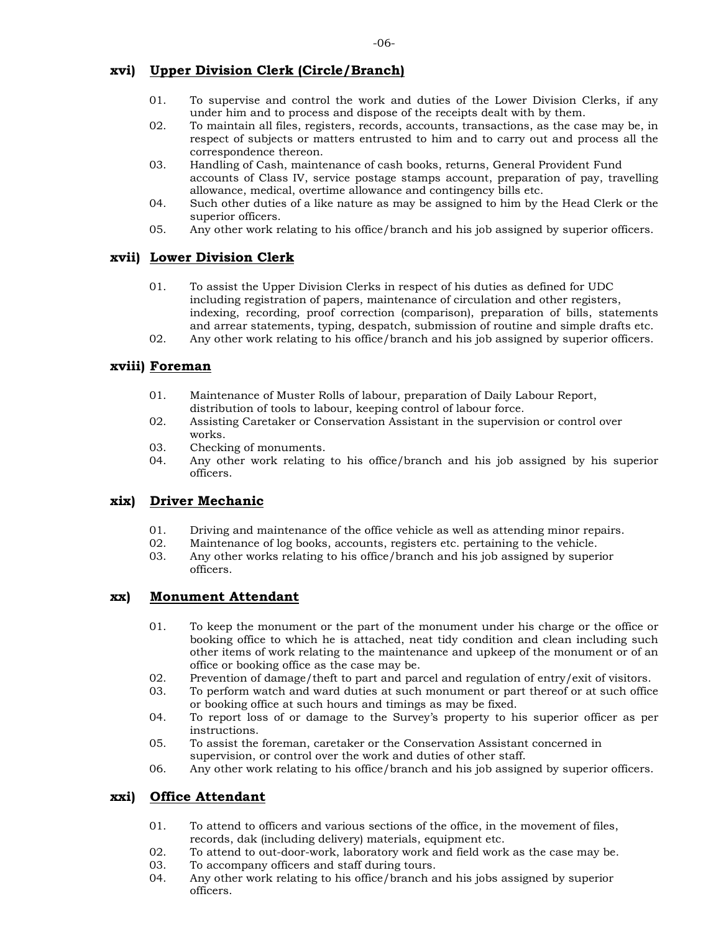## xvi) Upper Division Clerk (Circle/Branch)

- $01.$ To supervise and control the work and duties of the Lower Division Clerks, if any under him and to process and dispose of the receipts dealt with by them.
- $02.$ To maintain all files, registers, records, accounts, transactions, as the case may be, in respect of subjects or matters entrusted to him and to carry out and process all the correspondence thereon.
- 03. Handling of Cash, maintenance of cash books, returns, General Provident Fund accounts of Class IV, service postage stamps account, preparation of pay, travelling allowance, medical, overtime allowance and contingency bills etc.
- $04.$ Such other duties of a like nature as may be assigned to him by the Head Clerk or the superior officers.
- $05.$ Any other work relating to his office/branch and his job assigned by superior officers.

## xvii) Lower Division Clerk

- 01. To assist the Upper Division Clerks in respect of his duties as defined for UDC including registration of papers, maintenance of circulation and other registers, indexing, recording, proof correction (comparison), preparation of bills, statements and arrear statements, typing, despatch, submission of routine and simple drafts etc.
- 02. Any other work relating to his office/branch and his job assigned by superior officers.

## xviii) Foreman

- 01. Maintenance of Muster Rolls of labour, preparation of Daily Labour Report, distribution of tools to labour, keeping control of labour force.
- 02. Assisting Caretaker or Conservation Assistant in the supervision or control over works.
- 03. Checking of monuments.
- 04. Any other work relating to his office/branch and his job assigned by his superior officers.

#### **Driver Mechanic** xix)

- 01. Driving and maintenance of the office vehicle as well as attending minor repairs.
- 02. Maintenance of log books, accounts, registers etc. pertaining to the vehicle.
- 03. Any other works relating to his office/branch and his job assigned by superior officers.

#### **Monument Attendant** xx)

- 01. To keep the monument or the part of the monument under his charge or the office or booking office to which he is attached, neat tidy condition and clean including such other items of work relating to the maintenance and upkeep of the monument or of an office or booking office as the case may be.
- $02.$ Prevention of damage/theft to part and parcel and regulation of entry/exit of visitors.
- $0.3$ To perform watch and ward duties at such monument or part thereof or at such office or booking office at such hours and timings as may be fixed.
- 04. To report loss of or damage to the Survey's property to his superior officer as per instructions.
- $05.$ To assist the foreman, caretaker or the Conservation Assistant concerned in supervision, or control over the work and duties of other staff.
- 06. Any other work relating to his office/branch and his job assigned by superior officers.

### xxi) Office Attendant

- $01.$ To attend to officers and various sections of the office, in the movement of files, records, dak (including delivery) materials, equipment etc.
- 02. To attend to out-door-work, laboratory work and field work as the case may be.
- $0.3<sup>1</sup>$ To accompany officers and staff during tours.
- 04. Any other work relating to his office/branch and his jobs assigned by superior officers.